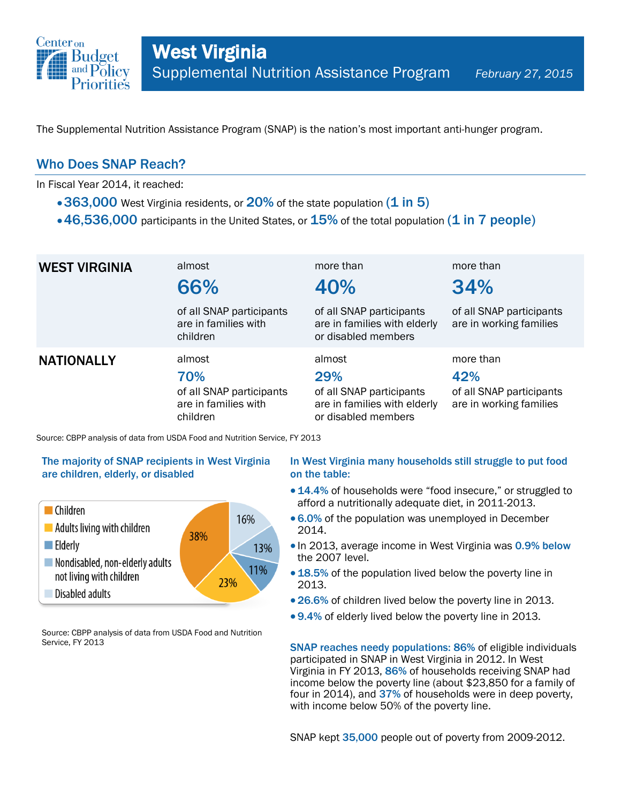

The Supplemental Nutrition Assistance Program (SNAP) is the nation's most important anti-hunger program.

## Who Does SNAP Reach?

In Fiscal Year 2014, it reached:

- 363,000 West Virginia residents, or  $20\%$  of the state population (1 in 5)
- $\cdot$  46,536,000 participants in the United States, or  $15\%$  of the total population (1 in 7 people)

| <b>WEST VIRGINIA</b> | almost<br>66%                                                                 | more than<br>40%                                                                                 | more than<br>34%                                                        |
|----------------------|-------------------------------------------------------------------------------|--------------------------------------------------------------------------------------------------|-------------------------------------------------------------------------|
|                      | of all SNAP participants<br>are in families with<br>children                  | of all SNAP participants<br>are in families with elderly<br>or disabled members                  | of all SNAP participants<br>are in working families                     |
| <b>NATIONALLY</b>    | almost<br>70%<br>of all SNAP participants<br>are in families with<br>children | almost<br>29%<br>of all SNAP participants<br>are in families with elderly<br>or disabled members | more than<br>42%<br>of all SNAP participants<br>are in working families |

Source: CBPP analysis of data from USDA Food and Nutrition Service, FY 2013

### The majority of SNAP recipients in West Virginia are children, elderly, or disabled



Source: CBPP analysis of data from USDA Food and Nutrition Service, FY 2013

### In West Virginia many households still struggle to put food on the table:

- 14.4% of households were "food insecure," or struggled to afford a nutritionally adequate diet, in 2011-2013.
- 6.0% of the population was unemployed in December 2014.
- . In 2013, average income in West Virginia was 0.9% below the 2007 level.
- 18.5% of the population lived below the poverty line in 2013.
- 26.6% of children lived below the poverty line in 2013.
- 9.4% of elderly lived below the poverty line in 2013.

SNAP reaches needy populations: 86% of eligible individuals participated in SNAP in West Virginia in 2012. In West Virginia in FY 2013, 86% of households receiving SNAP had income below the poverty line (about \$23,850 for a family of four in 2014), and 37% of households were in deep poverty, with income below 50% of the poverty line.

SNAP kept 35,000 people out of poverty from 2009-2012.